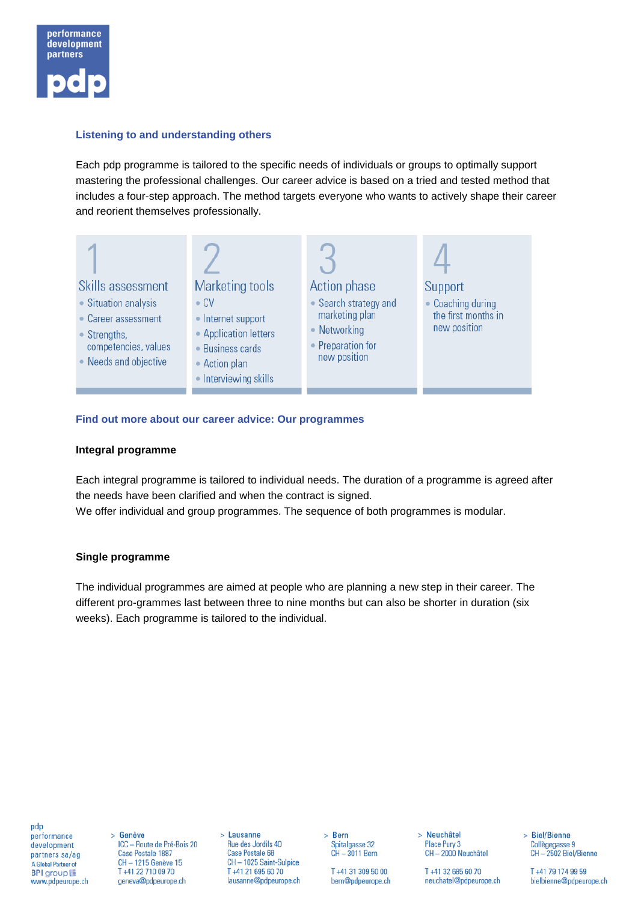

# **Listening to and understanding others**

Each pdp programme is tailored to the specific needs of individuals or groups to optimally support mastering the professional challenges. Our career advice is based on a tried and tested method that includes a four-step approach. The method targets everyone who wants to actively shape their career and reorient themselves professionally.



### **Find out more about our career advice: Our programmes**

### **Integral programme**

Each integral programme is tailored to individual needs. The duration of a programme is agreed after the needs have been clarified and when the contract is signed. We offer individual and group programmes. The sequence of both programmes is modular.

#### **Single programme**

The individual programmes are aimed at people who are planning a new step in their career. The different pro-grammes last between three to nine months but can also be shorter in duration (six weeks). Each programme is tailored to the individual.

pdp performance development partners sa/ag A Global Partner of **BPI** group www.pdpeurope.ch

> Genève ICC - Route de Pré-Bois 20 Case Postale 1887 CH - 1215 Genève 15 T +41 22 710 09 70 geneva@pdpeurope.ch

> Lausanne Rue des Jordils 40 Case Postale 68 CH-1025 Saint-Sulpice T +41 21 695 60 70 lausanne@pdpeurope.ch > Bern Spitalgasse 32  $CH - 3011$  Bern

> T +41 31 309 50 00 bern@pdpeurope.ch

> Neuchâtel Place Pury 3 CH-2000 Neuchâtel

T +41 32 685 60 70 neuchatel@pdpeurope.ch > Biel/Bienne Collègegasse 9 CH-2502 Biel/Bienne

T +41 79 174 99 59 bielbienne@pdpeurope.ch